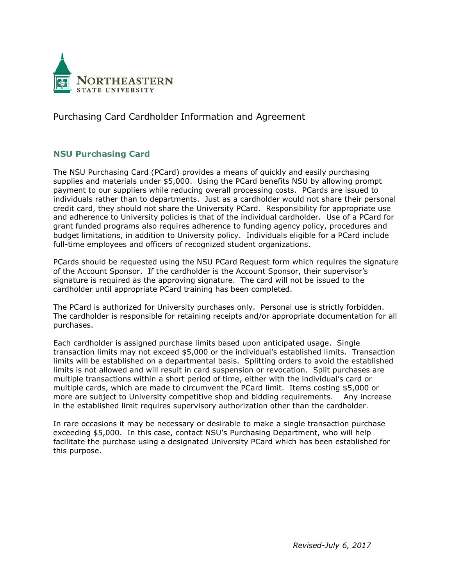

Purchasing Card Cardholder Information and Agreement

## **NSU Purchasing Card**

The NSU Purchasing Card (PCard) provides a means of quickly and easily purchasing supplies and materials under \$5,000. Using the PCard benefits NSU by allowing prompt payment to our suppliers while reducing overall processing costs. PCards are issued to individuals rather than to departments. Just as a cardholder would not share their personal credit card, they should not share the University PCard. Responsibility for appropriate use and adherence to University policies is that of the individual cardholder. Use of a PCard for grant funded programs also requires adherence to funding agency policy, procedures and budget limitations, in addition to University policy. Individuals eligible for a PCard include full-time employees and officers of recognized student organizations.

PCards should be requested using the NSU PCard Request form which requires the signature of the Account Sponsor. If the cardholder is the Account Sponsor, their supervisor's signature is required as the approving signature. The card will not be issued to the cardholder until appropriate PCard training has been completed.

The PCard is authorized for University purchases only. Personal use is strictly forbidden. The cardholder is responsible for retaining receipts and/or appropriate documentation for all purchases.

Each cardholder is assigned purchase limits based upon anticipated usage. Single transaction limits may not exceed \$5,000 or the individual's established limits. Transaction limits will be established on a departmental basis. Splitting orders to avoid the established limits is not allowed and will result in card suspension or revocation. Split purchases are multiple transactions within a short period of time, either with the individual's card or multiple cards, which are made to circumvent the PCard limit. Items costing \$5,000 or more are subject to University competitive shop and bidding requirements. Any increase in the established limit requires supervisory authorization other than the cardholder.

In rare occasions it may be necessary or desirable to make a single transaction purchase exceeding \$5,000. In this case, contact NSU's Purchasing Department, who will help facilitate the purchase using a designated University PCard which has been established for this purpose.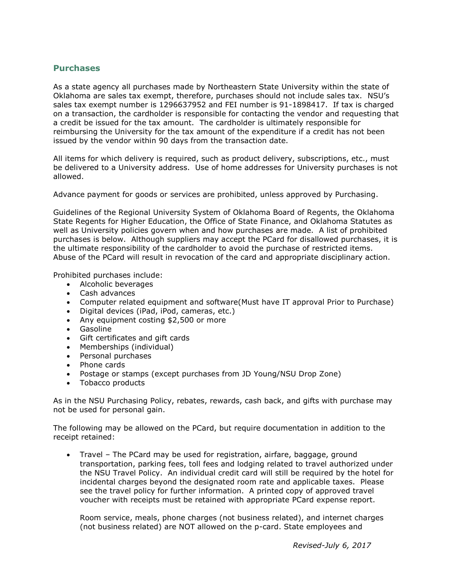#### **Purchases**

As a state agency all purchases made by Northeastern State University within the state of Oklahoma are sales tax exempt, therefore, purchases should not include sales tax. NSU's sales tax exempt number is 1296637952 and FEI number is 91-1898417. If tax is charged on a transaction, the cardholder is responsible for contacting the vendor and requesting that a credit be issued for the tax amount. The cardholder is ultimately responsible for reimbursing the University for the tax amount of the expenditure if a credit has not been issued by the vendor within 90 days from the transaction date.

All items for which delivery is required, such as product delivery, subscriptions, etc., must be delivered to a University address. Use of home addresses for University purchases is not allowed.

Advance payment for goods or services are prohibited, unless approved by Purchasing.

Guidelines of the Regional University System of Oklahoma Board of Regents, the Oklahoma State Regents for Higher Education, the Office of State Finance, and Oklahoma Statutes as well as University policies govern when and how purchases are made. A list of prohibited purchases is below. Although suppliers may accept the PCard for disallowed purchases, it is the ultimate responsibility of the cardholder to avoid the purchase of restricted items. Abuse of the PCard will result in revocation of the card and appropriate disciplinary action.

Prohibited purchases include:

- Alcoholic beverages
- Cash advances
- Computer related equipment and software(Must have IT approval Prior to Purchase)
- Digital devices (iPad, iPod, cameras, etc.)
- Any equipment costing \$2,500 or more
- Gasoline
- Gift certificates and gift cards
- Memberships (individual)
- Personal purchases
- Phone cards
- Postage or stamps (except purchases from JD Young/NSU Drop Zone)
- Tobacco products

As in the NSU Purchasing Policy, rebates, rewards, cash back, and gifts with purchase may not be used for personal gain.

The following may be allowed on the PCard, but require documentation in addition to the receipt retained:

 Travel – The PCard may be used for registration, airfare, baggage, ground transportation, parking fees, toll fees and lodging related to travel authorized under the NSU Travel Policy. An individual credit card will still be required by the hotel for incidental charges beyond the designated room rate and applicable taxes. Please see the travel policy for further information. A printed copy of approved travel voucher with receipts must be retained with appropriate PCard expense report.

Room service, meals, phone charges (not business related), and internet charges (not business related) are NOT allowed on the p-card. State employees and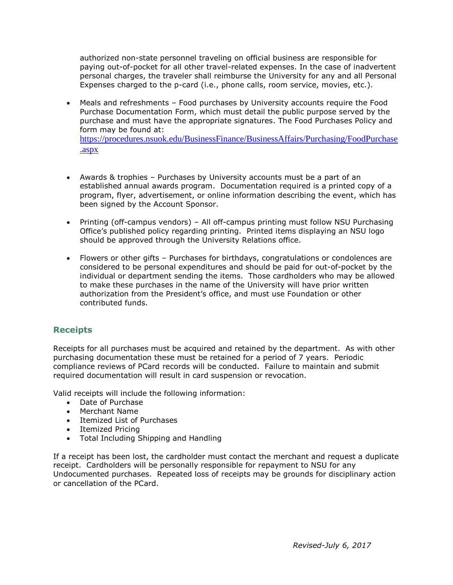authorized non-state personnel traveling on official business are responsible for paying out-of-pocket for all other travel-related expenses. In the case of inadvertent personal charges, the traveler shall reimburse the University for any and all Personal Expenses charged to the p-card (i.e., phone calls, room service, movies, etc.).

- Meals and refreshments Food purchases by University accounts require the Food Purchase Documentation Form, which must detail the public purpose served by the purchase and must have the appropriate signatures. The Food Purchases Policy and form may be found at: [https://procedures.nsuok.edu/BusinessFinance/BusinessAffairs/Purchasing/FoodPurchase](https://procedures.nsuok.edu/BusinessFinance/BusinessAffairs/Purchasing/FoodPurchase.aspx) [.aspx](https://procedures.nsuok.edu/BusinessFinance/BusinessAffairs/Purchasing/FoodPurchase.aspx)
- Awards & trophies Purchases by University accounts must be a part of an established annual awards program. Documentation required is a printed copy of a program, flyer, advertisement, or online information describing the event, which has been signed by the Account Sponsor.
- Printing (off-campus vendors) All off-campus printing must follow NSU Purchasing Office's published policy regarding printing. Printed items displaying an NSU logo should be approved through the University Relations office.
- Flowers or other gifts Purchases for birthdays, congratulations or condolences are considered to be personal expenditures and should be paid for out-of-pocket by the individual or department sending the items. Those cardholders who may be allowed to make these purchases in the name of the University will have prior written authorization from the President's office, and must use Foundation or other contributed funds.

### **Receipts**

Receipts for all purchases must be acquired and retained by the department. As with other purchasing documentation these must be retained for a period of 7 years. Periodic compliance reviews of PCard records will be conducted. Failure to maintain and submit required documentation will result in card suspension or revocation.

Valid receipts will include the following information:

- Date of Purchase
- Merchant Name
- Itemized List of Purchases
- Itemized Pricing
- Total Including Shipping and Handling

If a receipt has been lost, the cardholder must contact the merchant and request a duplicate receipt. Cardholders will be personally responsible for repayment to NSU for any Undocumented purchases. Repeated loss of receipts may be grounds for disciplinary action or cancellation of the PCard.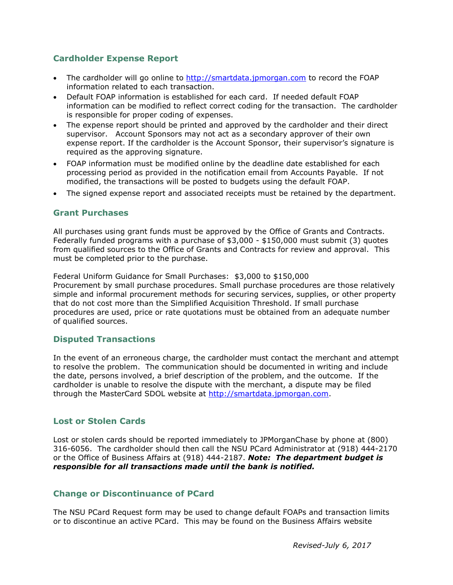## **Cardholder Expense Report**

- The cardholder will go online to [http://smartdata.jpmorgan.com](http://smartdata.jpmorgan.com/) to record the FOAP information related to each transaction.
- Default FOAP information is established for each card. If needed default FOAP information can be modified to reflect correct coding for the transaction. The cardholder is responsible for proper coding of expenses.
- The expense report should be printed and approved by the cardholder and their direct supervisor. Account Sponsors may not act as a secondary approver of their own expense report. If the cardholder is the Account Sponsor, their supervisor's signature is required as the approving signature.
- FOAP information must be modified online by the deadline date established for each processing period as provided in the notification email from Accounts Payable. If not modified, the transactions will be posted to budgets using the default FOAP.
- The signed expense report and associated receipts must be retained by the department.

#### **Grant Purchases**

All purchases using grant funds must be approved by the Office of Grants and Contracts. Federally funded programs with a purchase of \$3,000 - \$150,000 must submit (3) quotes from qualified sources to the Office of Grants and Contracts for review and approval. This must be completed prior to the purchase.

Federal Uniform Guidance for Small Purchases: \$3,000 to \$150,000 Procurement by small purchase procedures. Small purchase procedures are those relatively simple and informal procurement methods for securing services, supplies, or other property that do not cost more than the Simplified Acquisition Threshold. If small purchase procedures are used, price or rate quotations must be obtained from an adequate number of qualified sources.

#### **Disputed Transactions**

In the event of an erroneous charge, the cardholder must contact the merchant and attempt to resolve the problem. The communication should be documented in writing and include the date, persons involved, a brief description of the problem, and the outcome. If the cardholder is unable to resolve the dispute with the merchant, a dispute may be filed through the MasterCard SDOL website at [http://smartdata.jpmorgan.com.](http://smartdata.jpmorgan.com/)

#### **Lost or Stolen Cards**

Lost or stolen cards should be reported immediately to JPMorganChase by phone at (800) 316-6056. The cardholder should then call the NSU PCard Administrator at (918) 444-2170 or the Office of Business Affairs at (918) 444-2187. *Note: The department budget is responsible for all transactions made until the bank is notified.*

#### **Change or Discontinuance of PCard**

The NSU PCard Request form may be used to change default FOAPs and transaction limits or to discontinue an active PCard. This may be found on the Business Affairs website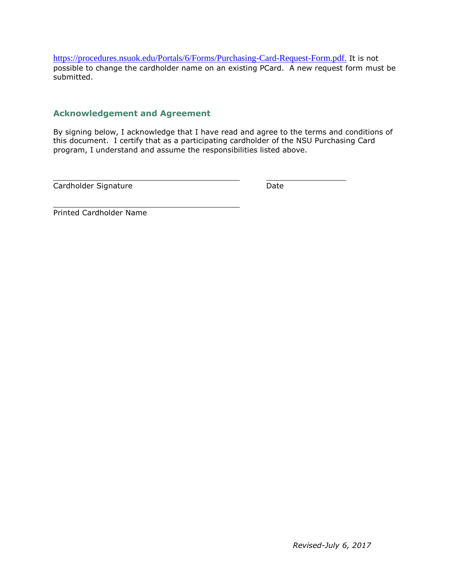[https://procedures.nsuok.edu/Portals/6/Forms/Purchasing-Card-Request-Form.pdf.](https://procedures.nsuok.edu/Portals/6/Forms/Purchasing-Card-Request-Form.pdf) It is not possible to change the cardholder name on an existing PCard. A new request form must be submitted.

### **Acknowledgement and Agreement**

By signing below, I acknowledge that I have read and agree to the terms and conditions of this document. I certify that as a participating cardholder of the NSU Purchasing Card program, I understand and assume the responsibilities listed above.

Cardholder Signature Date

Printed Cardholder Name